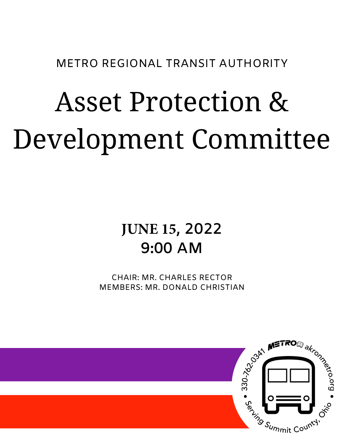METRO REGIONAL TRANSIT AUTHORITY

# Asset Protection & Development Committee

# **JUNE 15, 2022 9:00 AM**

CHAIR: MR. CHARLES RECTOR MEMBERS: MR. DONALD CHRISTIAN

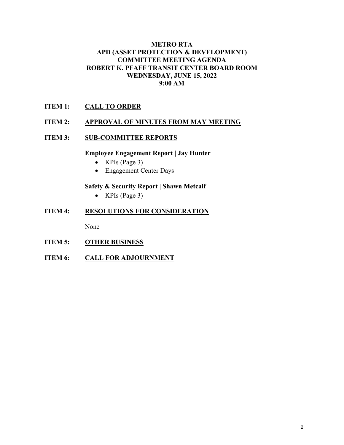#### **METRO RTA APD (ASSET PROTECTION & DEVELOPMENT) COMMITTEE MEETING AGENDA ROBERT K. PFAFF TRANSIT CENTER BOARD ROOM WEDNESDAY, JUNE 15, 2022 9:00 AM**

### **ITEM 1: CALL TO ORDER**

#### **ITEM 2: APPROVAL OF MINUTES FROM MAY MEETING**

#### **ITEM 3:** SUB-COMMITTEE REPORTS

#### **Employee Engagement Report | Jay Hunter**

- KPIs (Page 3)
- Engagement Center Days

#### **Safety & Security Report | Shawn Metcalf**

• KPIs (Page 3)

#### **ITEM 4: RESOLUTIONS FOR CONSIDERATION**

None

- **ITEM 5: OTHER BUSINESS**
- **ITEM 6:** CALL FOR ADJOURNMENT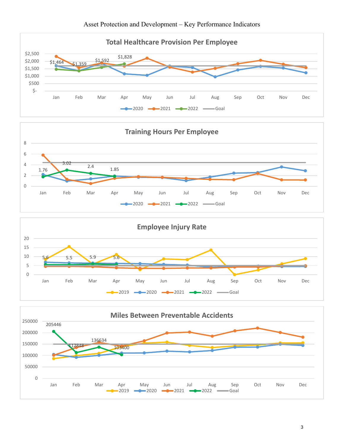





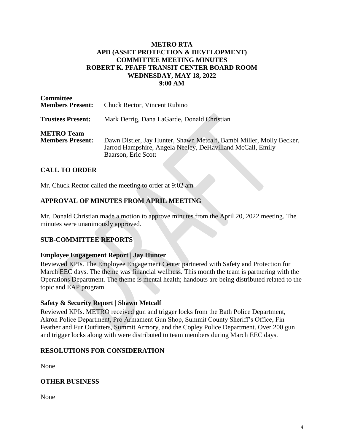#### **METRO RTA APD (ASSET PROTECTION & DEVELOPMENT) COMMITTEE MEETING MINUTES ROBERT K. PFAFF TRANSIT CENTER BOARD ROOM WEDNESDAY, MAY 18, 2022 9:00 AM**

| <b>Committee</b><br><b>Members Present:</b>  | <b>Chuck Rector, Vincent Rubino</b>                                                                                                                       |
|----------------------------------------------|-----------------------------------------------------------------------------------------------------------------------------------------------------------|
| <b>Trustees Present:</b>                     | Mark Derrig, Dana LaGarde, Donald Christian                                                                                                               |
| <b>METRO</b> Team<br><b>Members Present:</b> | Dawn Distler, Jay Hunter, Shawn Metcalf, Bambi Miller, Molly Becker,<br>Jarrod Hampshire, Angela Neeley, DeHavilland McCall, Emily<br>Baarson, Eric Scott |

## **CALL TO ORDER**

Mr. Chuck Rector called the meeting to order at 9:02 am

#### **APPROVAL OF MINUTES FROM APRIL MEETING**

Mr. Donald Christian made a motion to approve minutes from the April 20, 2022 meeting. The minutes were unanimously approved.

#### **SUB-COMMITTEE REPORTS**

#### **Employee Engagement Report | Jay Hunter**

Reviewed KPIs. The Employee Engagement Center partnered with Safety and Protection for March EEC days. The theme was financial wellness. This month the team is partnering with the Operations Department. The theme is mental health; handouts are being distributed related to the topic and EAP program.

#### **Safety & Security Report | Shawn Metcalf**

Reviewed KPIs. METRO received gun and trigger locks from the Bath Police Department, Akron Police Department, Pro Armament Gun Shop, Summit County Sheriff's Office, Fin Feather and Fur Outfitters, Summit Armory, and the Copley Police Department. Over 200 gun and trigger locks along with were distributed to team members during March EEC days.

#### **RESOLUTIONS FOR CONSIDERATION**

None

#### **OTHER BUSINESS**

None